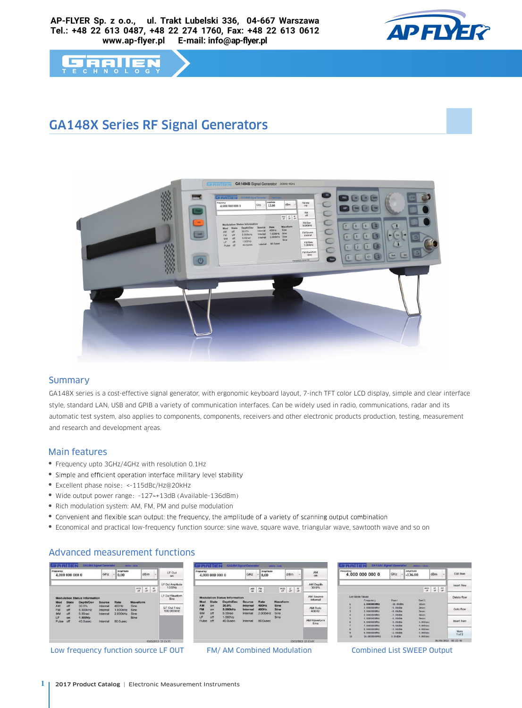



# GA148X Series RF Signal Generators



#### Summary

。 and research and development areas. GA148X series is a cost-effective signal generator, with ergonomic keyboard layout, 7-inch TFT color LCD display, simple and clear interface style, standard LAN, USB and GPIB a variety of communication interfaces. Can be widely used in radio, communications, radar and its automatic test system, also applies to components, components, receivers and other electronic products production, testing, measurement

#### Main features

- Frequency upto 3GHz/4GHz with resolution 0.1Hz
- Simple and efficient operation interface military level stability
- Excellent phase noise:<-115dBc/Hz@20kHz
- Wide output power range:-127~+13dB(Available-136dBm)
- Rich modulation system: AM, FM, PM and pulse modulation
- Convenient and flexible scan output: the frequency, the amplitude of a variety of scanning output combination
- Economical and practical low-frequency function source: sine wave, square wave, triangular wave, sawtooth wave and so on

#### Advanced measurement functions



Low frequency function source LF OUT FM/ AM Combined Modulation Combined List SWEEP Output

| Frequency<br>4,000,000,000,0 |                                      |           |                                            | GHZ       |                 | Amplitude<br>0.00 |            |  | dBm<br>i. |                              | AM<br>on            |  |
|------------------------------|--------------------------------------|-----------|--------------------------------------------|-----------|-----------------|-------------------|------------|--|-----------|------------------------------|---------------------|--|
|                              |                                      |           |                                            | AM<br>co. | <b>FM</b><br>on |                   | MOD<br>off |  | 1F<br>off | RF<br>off                    | AM Depth<br>30.0%   |  |
|                              | <b>Modulation Status Information</b> |           |                                            |           |                 |                   |            |  |           | <b>AM Source</b><br>Internal |                     |  |
| Mod                          | <b>State</b>                         | Depth/Dev | Source<br>Internal<br>Internal<br>Internal |           |                 | Rate              | Waveform   |  |           |                              |                     |  |
| <b>AM</b>                    | on                                   | 30.0%     |                                            |           |                 | 400Hz             | Sine       |  |           |                              | <b>AM Rate</b>      |  |
| <b>FM</b>                    | on                                   | 5.000kHz  |                                            |           | 400Hz           |                   | Sine       |  |           |                              | 400Hz               |  |
| ФM                           | off                                  | 5.00rad   |                                            |           |                 | 2.000kHz          | Sine       |  |           |                              |                     |  |
| LF                           | off                                  | 1.000Vp   |                                            |           |                 |                   | Sine       |  |           |                              |                     |  |
| Pulse                        | off                                  | 40.0usec  | Internal                                   |           |                 | 80.0usec          |            |  |           |                              | AM Waveform<br>Sine |  |

 $4.00000000000$  $GHz \sim 136.00$ dBm Edit Item Insert Row  $MOD$   $U$   $V$ Delete Row Goto Row Insert Item More<br> $1$  of  $2$